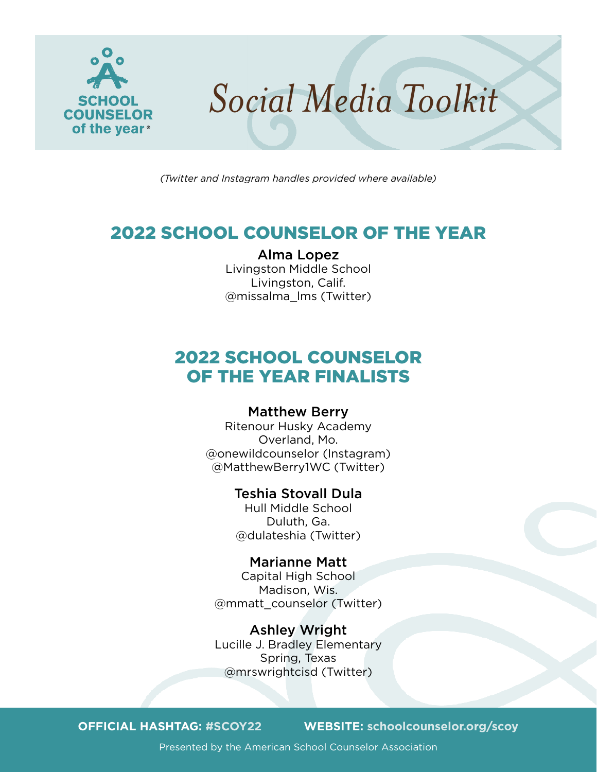

*(Twitter and Instagram handles provided where available)*

# 2022 SCHOOL COUNSELOR OF THE YEAR

### Alma Lopez

Livingston Middle School Livingston, Calif. @missalma\_lms (Twitter)

# 2022 SCHOOL COUNSELOR OF THE YEAR FINALISTS

# Matthew Berry

Ritenour Husky Academy Overland, Mo. @onewildcounselor (Instagram) @MatthewBerry1WC (Twitter)

# Teshia Stovall Dula

Hull Middle School Duluth, Ga. @dulateshia (Twitter)

### Marianne Matt

Capital High School Madison, Wis. @mmatt\_counselor (Twitter)

Ashley Wright Lucille J. Bradley Elementary Spring, Texas @mrswrightcisd (Twitter)

**OFFICIAL HASHTAG: #SCOY22 WEBSITE: [schoolcounselor.org/scoy](http://schoolcounselor.org/scoy)**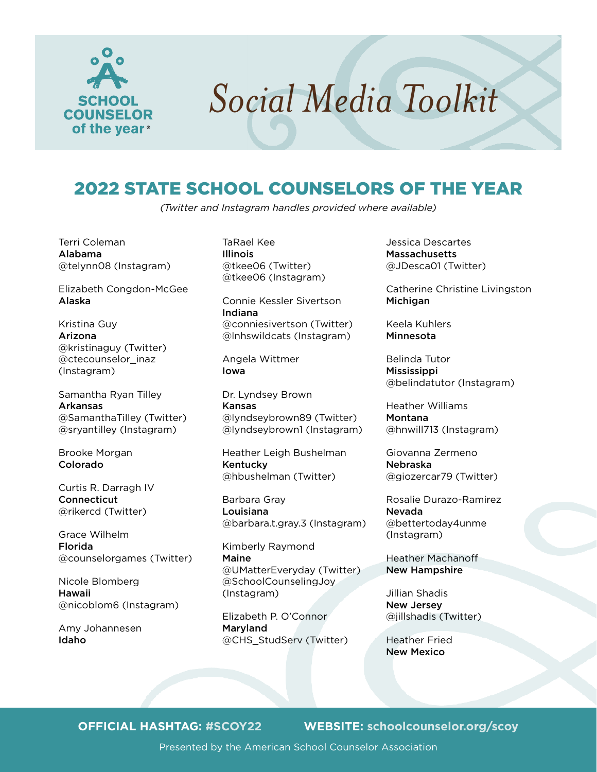

# 2022 STATE SCHOOL COUNSELORS OF THE YEAR

*(Twitter and Instagram handles provided where available)*

Terri Coleman Alabama @telynn08 (Instagram)

Elizabeth Congdon-McGee Alaska

Kristina Guy Arizona @kristinaguy (Twitter) @ctecounselor\_inaz (Instagram)

Samantha Ryan Tilley Arkansas @SamanthaTilley (Twitter) @sryantilley (Instagram)

Brooke Morgan Colorado

Curtis R. Darragh IV **Connecticut** @rikercd (Twitter)

Grace Wilhelm Florida @counselorgames (Twitter)

Nicole Blomberg Hawaii @nicoblom6 (Instagram)

Amy Johannesen Idaho

TaRael Kee Illinois @tkee06 (Twitter) @tkee06 (Instagram)

Connie Kessler Sivertson Indiana @conniesivertson (Twitter) @lnhswildcats (Instagram)

Angela Wittmer Iowa

Dr. Lyndsey Brown Kansas @lyndseybrown89 (Twitter) @lyndseybrown1 (Instagram)

Heather Leigh Bushelman Kentucky @hbushelman (Twitter)

Barbara Gray Louisiana @barbara.t.gray.3 (Instagram)

Kimberly Raymond Maine @UMatterEveryday (Twitter) @SchoolCounselingJoy (Instagram)

Elizabeth P. O'Connor Maryland @CHS\_StudServ (Twitter) Jessica Descartes **Massachusetts** @JDesca01 (Twitter)

Catherine Christine Livingston Michigan

Keela Kuhlers Minnesota

Belinda Tutor Mississippi @belindatutor (Instagram)

Heather Williams Montana @hnwill713 (Instagram)

Giovanna Zermeno Nebraska @giozercar79 (Twitter)

Rosalie Durazo-Ramirez Nevada @bettertoday4unme (Instagram)

Heather Machanoff New Hampshire

Jillian Shadis New Jersey @jillshadis (Twitter)

Heather Fried New Mexico

### **OFFICIAL HASHTAG: #SCOY22 WEBSITE: [schoolcounselor.org/scoy](http://schoolcounselor.org/scoy)**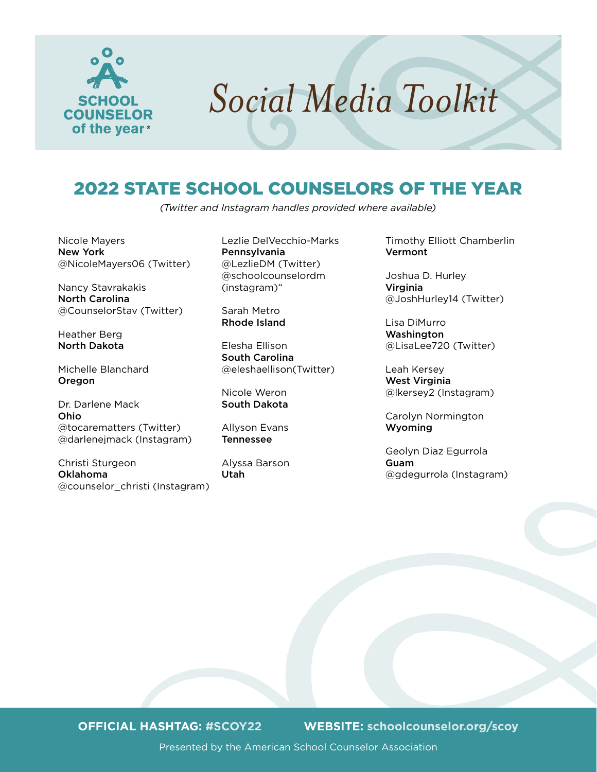

# 2022 STATE SCHOOL COUNSELORS OF THE YEAR

*(Twitter and Instagram handles provided where available)*

Nicole Mayers New York @NicoleMayers06 (Twitter)

Nancy Stavrakakis North Carolina @CounselorStav (Twitter)

Heather Berg North Dakota

Michelle Blanchard Oregon

Dr. Darlene Mack Ohio @tocarematters (Twitter) @darlenejmack (Instagram)

Christi Sturgeon Oklahoma @counselor\_christi (Instagram) Lezlie DelVecchio-Marks Pennsylvania @LezlieDM (Twitter) @schoolcounselordm (instagram)"

Sarah Metro Rhode Island

Elesha Ellison South Carolina @eleshaellison(Twitter)

Nicole Weron South Dakota

Allyson Evans Tennessee

Alyssa Barson Utah

Timothy Elliott Chamberlin Vermont

Joshua D. Hurley Virginia @JoshHurley14 (Twitter)

Lisa DiMurro **Washington** @LisaLee720 (Twitter)

Leah Kersey West Virginia @lkersey2 (Instagram)

Carolyn Normington Wyoming

Geolyn Diaz Egurrola Guam @gdegurrola (Instagram)

**OFFICIAL HASHTAG: #SCOY22 WEBSITE: [schoolcounselor.org/scoy](http://schoolcounselor.org/scoy)**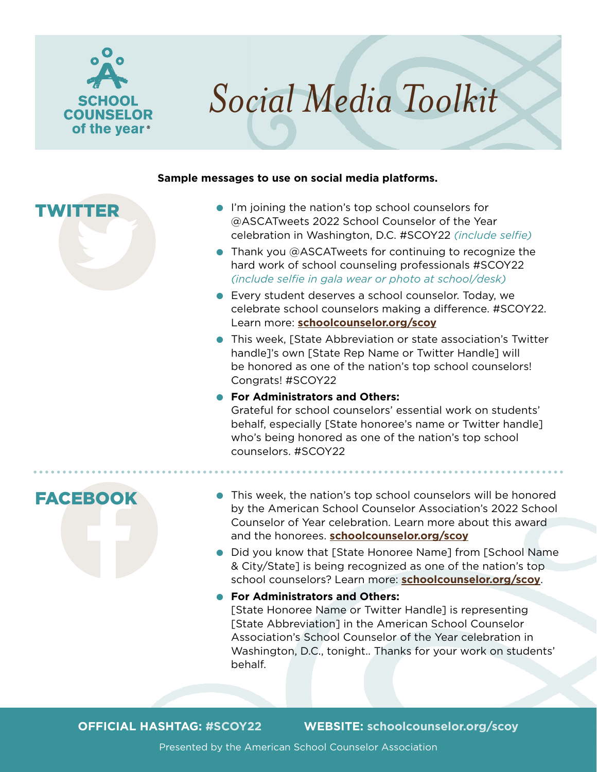

#### **Sample messages to use on social media platforms.**

# TWITTER

- **I'm joining the nation's top school counselors for** @ASCATweets 2022 School Counselor of the Year celebration in Washington, D.C. #SCOY22 *(include selfie)*
- $\bullet$  Thank you @ASCATweets for continuing to recognize the hard work of school counseling professionals #SCOY22 *(include selfie in gala wear or photo at school/desk)*
- **Every student deserves a school counselor. Today, we** celebrate school counselors making a difference. #SCOY22. Learn more: **[schoolcounselor.org/scoy](http://schoolcounselor.org/scoy)**
- **This week, [State Abbreviation or state association's Twitter** handle]'s own [State Rep Name or Twitter Handle] will be honored as one of the nation's top school counselors! Congrats! #SCOY22

### **• For Administrators and Others:**

Grateful for school counselors' essential work on students' behalf, especially [State honoree's name or Twitter handle] who's being honored as one of the nation's top school counselors. #SCOY22



- **This week, the nation's top school counselors will be honored** by the American School Counselor Association's 2022 School Counselor of Year celebration. Learn more about this award and the honorees. **[schoolcounselor.org/scoy](http://schoolcounselor.org/scoy)**
- **Did you know that [State Honoree Name] from [School Name** & City/State] is being recognized as one of the nation's top school counselors? Learn more: **[schoolcounselor.org/scoy](http://schoolcounselor.org/scoy)**.
- **For Administrators and Others:**

[State Honoree Name or Twitter Handle] is representing [State Abbreviation] in the American School Counselor Association's School Counselor of the Year celebration in Washington, D.C., tonight.. Thanks for your work on students' behalf.

**OFFICIAL HASHTAG: #SCOY22 WEBSITE: [schoolcounselor.org/scoy](http://schoolcounselor.org/scoy)**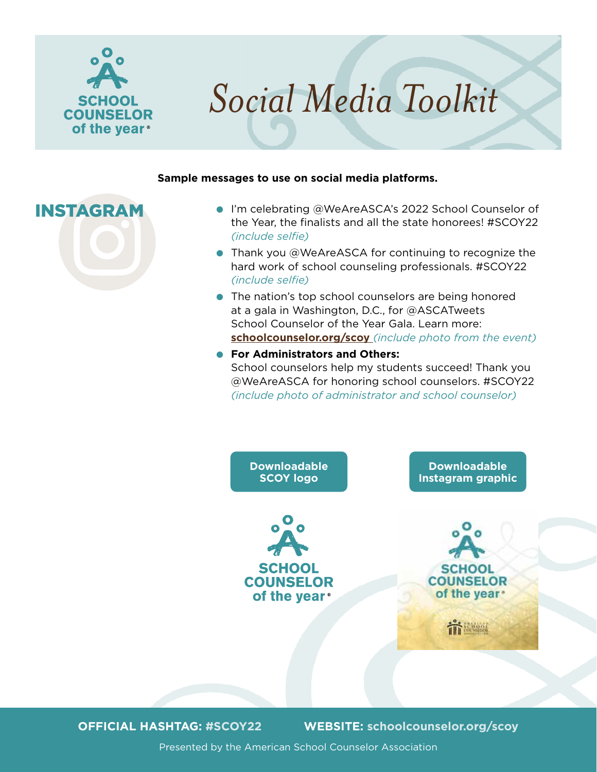

#### **Sample messages to use on social media platforms.**

- INSTAGRAM . I'm celebrating @WeAreASCA's 2022 School Counselor of the Year, the finalists and all the state honorees! #SCOY22 *(include selfie)*
	- $\bullet$  Thank you @WeAreASCA for continuing to recognize the hard work of school counseling professionals. #SCOY22 *(include selfie)*
	- $\bullet$  The nation's top school counselors are being honored at a gala in Washington, D.C., for @ASCATweets School Counselor of the Year Gala. Learn more: **schoolcounselor.org/scoy** *(include photo from the event)*
	- **For Administrators and Others:** School counselors help my students succeed! Thank you @WeAreASCA for honoring school counselors. #SCOY22 *(include photo of administrator and school counselor)*



**OFFICIAL HASHTAG: #SCOY22 WEBSITE: [schoolcounselor.org/scoy](http://schoolcounselor.org/scoy)**